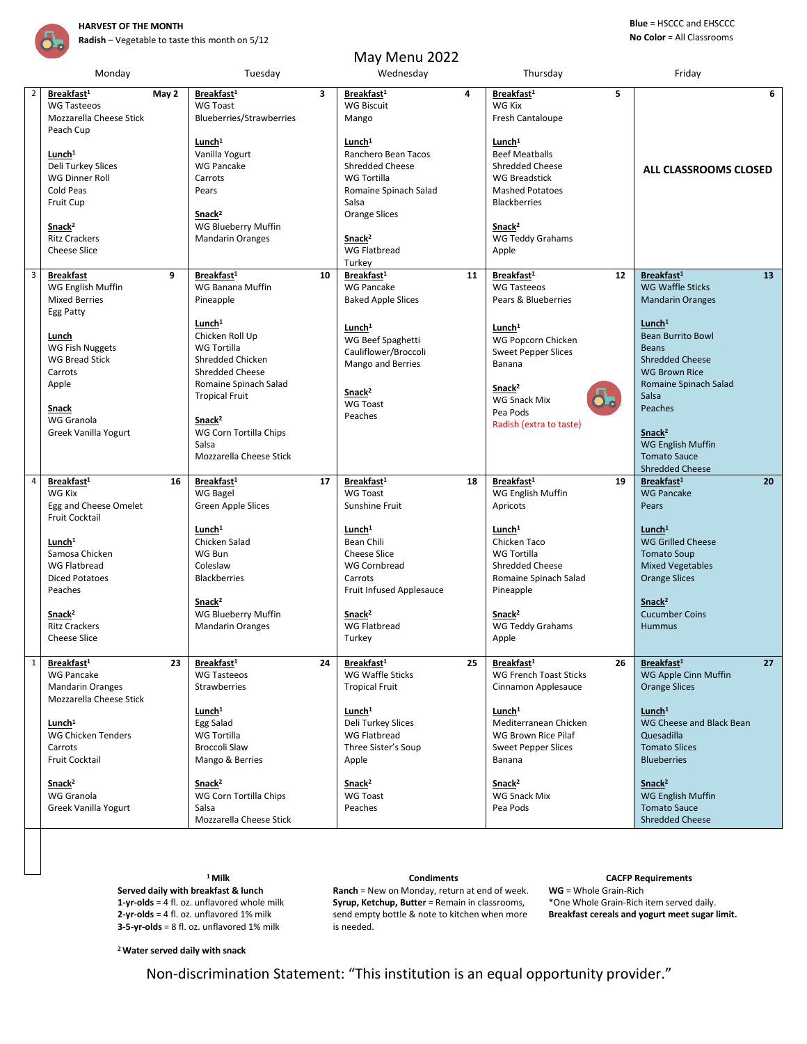

**Radish** – Vegetable to taste this month on 5/12

### **Blue** = HSCCC and EHSCCC **No Color** = All Classrooms

| May Menu 2022  |                                                                                                         |                                                                                                                                    |    |                                                                                                                                              |    |                                                                                                                                                |                                                                                                                                           |  |  |  |  |  |
|----------------|---------------------------------------------------------------------------------------------------------|------------------------------------------------------------------------------------------------------------------------------------|----|----------------------------------------------------------------------------------------------------------------------------------------------|----|------------------------------------------------------------------------------------------------------------------------------------------------|-------------------------------------------------------------------------------------------------------------------------------------------|--|--|--|--|--|
|                | Monday                                                                                                  | Tuesday                                                                                                                            |    | Wednesday                                                                                                                                    |    | Thursday                                                                                                                                       | Friday                                                                                                                                    |  |  |  |  |  |
| $\overline{2}$ | Breakfast <sup>1</sup><br>May 2<br><b>WG Tasteeos</b><br>Mozzarella Cheese Stick<br>Peach Cup           | Breakfast <sup>1</sup><br><b>WG Toast</b><br>Blueberries/Strawberries                                                              | 3  | Breakfast <sup>1</sup><br><b>WG Biscuit</b><br>Mango                                                                                         | 4  | 5<br>Breakfast <sup>1</sup><br><b>WG Kix</b><br>Fresh Cantaloupe                                                                               | 6                                                                                                                                         |  |  |  |  |  |
|                | Lunch <sup>1</sup><br>Deli Turkey Slices<br><b>WG Dinner Roll</b><br>Cold Peas<br>Fruit Cup             | Lunch <sup>1</sup><br>Vanilla Yogurt<br><b>WG Pancake</b><br>Carrots<br>Pears<br>Snack <sup>2</sup>                                |    | Lunch <sup>1</sup><br>Ranchero Bean Tacos<br><b>Shredded Cheese</b><br>WG Tortilla<br>Romaine Spinach Salad<br>Salsa<br><b>Orange Slices</b> |    | Lunch <sup>1</sup><br><b>Beef Meatballs</b><br><b>Shredded Cheese</b><br><b>WG Breadstick</b><br><b>Mashed Potatoes</b><br><b>Blackberries</b> | ALL CLASSROOMS CLOSED                                                                                                                     |  |  |  |  |  |
|                | Snack <sup>2</sup><br><b>Ritz Crackers</b><br><b>Cheese Slice</b>                                       | WG Blueberry Muffin<br><b>Mandarin Oranges</b>                                                                                     |    | Snack <sup>2</sup><br><b>WG Flatbread</b><br>Turkey                                                                                          |    | Snack <sup>2</sup><br>WG Teddy Grahams<br>Apple                                                                                                |                                                                                                                                           |  |  |  |  |  |
| $\overline{3}$ | <b>Breakfast</b><br>9<br>WG English Muffin<br><b>Mixed Berries</b><br>Egg Patty                         | Breakfast <sup>1</sup><br>WG Banana Muffin<br>Pineapple                                                                            | 10 | Breakfast <sup>1</sup><br><b>WG Pancake</b><br><b>Baked Apple Slices</b>                                                                     | 11 | Breakfast <sup>1</sup><br>12<br><b>WG Tasteeos</b><br>Pears & Blueberries                                                                      | Breakfast <sup>1</sup><br>13<br><b>WG Waffle Sticks</b><br><b>Mandarin Oranges</b>                                                        |  |  |  |  |  |
|                | Lunch<br><b>WG Fish Nuggets</b><br><b>WG Bread Stick</b><br>Carrots<br>Apple                            | Lunch <sup>1</sup><br>Chicken Roll Up<br><b>WG Tortilla</b><br>Shredded Chicken<br><b>Shredded Cheese</b><br>Romaine Spinach Salad |    | Lunch <sup>1</sup><br>WG Beef Spaghetti<br>Cauliflower/Broccoli<br>Mango and Berries                                                         |    | Lunch <sup>1</sup><br>WG Popcorn Chicken<br><b>Sweet Pepper Slices</b><br>Banana                                                               | Lunch <sup>1</sup><br><b>Bean Burrito Bowl</b><br><b>Beans</b><br><b>Shredded Cheese</b><br><b>WG Brown Rice</b><br>Romaine Spinach Salad |  |  |  |  |  |
|                | Snack<br>WG Granola<br>Greek Vanilla Yogurt                                                             | <b>Tropical Fruit</b><br>Snack <sup>2</sup><br>WG Corn Tortilla Chips<br>Salsa                                                     |    | Snack <sup>2</sup><br><b>WG Toast</b><br>Peaches                                                                                             |    | Snack <sup>2</sup><br><b>WG Snack Mix</b><br>Pea Pods<br>Radish (extra to taste)                                                               | Salsa<br>Peaches<br>Snack <sup>2</sup><br><b>WG English Muffin</b>                                                                        |  |  |  |  |  |
| $\overline{4}$ |                                                                                                         | Mozzarella Cheese Stick                                                                                                            |    |                                                                                                                                              |    |                                                                                                                                                | <b>Tomato Sauce</b><br><b>Shredded Cheese</b>                                                                                             |  |  |  |  |  |
|                | Breakfast <sup>1</sup><br>16<br>WG Kix<br>Egg and Cheese Omelet<br><b>Fruit Cocktail</b>                | Breakfast <sup>1</sup><br>WG Bagel<br>Green Apple Slices                                                                           | 17 | Breakfast <sup>1</sup><br><b>WG Toast</b><br>Sunshine Fruit                                                                                  | 18 | Breakfast <sup>1</sup><br>19<br>WG English Muffin<br>Apricots                                                                                  | Breakfast <sup>1</sup><br>20<br><b>WG Pancake</b><br>Pears                                                                                |  |  |  |  |  |
|                | Lunch <sup>1</sup><br>Samosa Chicken<br><b>WG Flatbread</b><br><b>Diced Potatoes</b>                    | Lunch <sup>1</sup><br>Chicken Salad<br>WG Bun<br>Coleslaw<br><b>Blackberries</b>                                                   |    | $L$ unch <sup>1</sup><br>Bean Chili<br><b>Cheese Slice</b><br><b>WG Cornbread</b><br>Carrots                                                 |    | Lunch <sup>1</sup><br>Chicken Taco<br>WG Tortilla<br><b>Shredded Cheese</b><br>Romaine Spinach Salad                                           | $L$ unch <sup>1</sup><br><b>WG Grilled Cheese</b><br><b>Tomato Soup</b><br><b>Mixed Vegetables</b><br><b>Orange Slices</b>                |  |  |  |  |  |
|                | Peaches<br>Snack <sup>2</sup><br><b>Ritz Crackers</b><br><b>Cheese Slice</b>                            | Snack <sup>2</sup><br>WG Blueberry Muffin<br><b>Mandarin Oranges</b>                                                               |    | Fruit Infused Applesauce<br>Snack <sup>2</sup><br><b>WG Flatbread</b><br>Turkey                                                              |    | Pineapple<br>Snack <sup>2</sup><br>WG Teddy Grahams<br>Apple                                                                                   | Snack <sup>2</sup><br><b>Cucumber Coins</b><br><b>Hummus</b>                                                                              |  |  |  |  |  |
| $\mathbf 1$    | 23<br>Breakfast <sup>1</sup><br><b>WG Pancake</b><br><b>Mandarin Oranges</b><br>Mozzarella Cheese Stick | Breakfast <sup>1</sup><br><b>WG Tasteeos</b><br><b>Strawberries</b>                                                                | 24 | Breakfast <sup>1</sup><br>WG Waffle Sticks<br><b>Tropical Fruit</b>                                                                          | 25 | 26<br>Breakfast <sup>1</sup><br><b>WG French Toast Sticks</b><br>Cinnamon Applesauce                                                           | 27<br>Breakfast <sup>1</sup><br>WG Apple Cinn Muffin<br><b>Orange Slices</b>                                                              |  |  |  |  |  |
|                | Lunch <sup>1</sup><br><b>WG Chicken Tenders</b><br>Carrots<br><b>Fruit Cocktail</b>                     | Lunch <sup>1</sup><br>Egg Salad<br>WG Tortilla<br><b>Broccoli Slaw</b><br>Mango & Berries                                          |    | Lunch <sup>1</sup><br>Deli Turkey Slices<br><b>WG Flatbread</b><br>Three Sister's Soup<br>Apple                                              |    | Lunch <sup>1</sup><br>Mediterranean Chicken<br>WG Brown Rice Pilaf<br><b>Sweet Pepper Slices</b><br>Banana                                     | Lunch <sup>1</sup><br>WG Cheese and Black Bean<br>Quesadilla<br><b>Tomato Slices</b><br><b>Blueberries</b>                                |  |  |  |  |  |
|                | Snack <sup>2</sup><br>WG Granola<br>Greek Vanilla Yogurt                                                | Snack <sup>2</sup><br>WG Corn Tortilla Chips<br>Salsa<br>Mozzarella Cheese Stick                                                   |    | Snack <sup>2</sup><br><b>WG Toast</b><br>Peaches                                                                                             |    | Snack <sup>2</sup><br>WG Snack Mix<br>Pea Pods                                                                                                 | Snack <sup>2</sup><br>WG English Muffin<br><b>Tomato Sauce</b><br><b>Shredded Cheese</b>                                                  |  |  |  |  |  |

**Served daily with breakfast & lunch 1-yr-olds** = 4 fl. oz. unflavored whole milk **2-yr-olds** = 4 fl. oz. unflavored 1% milk **3-5-yr-olds** = 8 fl. oz. unflavored 1% milk

**Ranch** = New on Monday, return at end of week. **Syrup, Ketchup, Butter** = Remain in classrooms, send empty bottle & note to kitchen when more is needed.

## **<sup>1</sup>Milk Condiments CACFP Requirements**

**WG** = Whole Grain-Rich \*One Whole Grain-Rich item served daily. **Breakfast cereals and yogurt meet sugar limit.**

**<sup>2</sup>Water served daily with snack**

Non-discrimination Statement: "This institution is an equal opportunity provider."